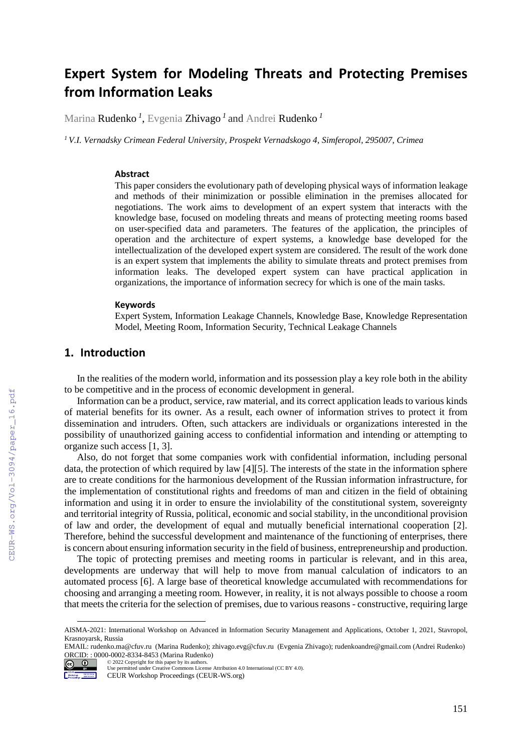# **Expert System for Modeling Threats and Protecting Premises from Information Leaks**

Marina Rudenko *<sup>1</sup>* , Evgenia Zhivago *<sup>1</sup>* and Andrei Rudenko *<sup>1</sup>*

*<sup>1</sup> V.I. Vernadsky Crimean Federal University, Prospekt Vernadskogo 4, Simferopol, 295007, Crimea*

#### **Abstract**

This paper considers the evolutionary path of developing physical ways of information leakage and methods of their minimization or possible elimination in the premises allocated for negotiations. The work aims to development of an expert system that interacts with the knowledge base, focused on modeling threats and means of protecting meeting rooms based on user-specified data and parameters. The features of the application, the principles of operation and the architecture of expert systems, a knowledge base developed for the intellectualization of the developed expert system are considered. The result of the work done is an expert system that implements the ability to simulate threats and protect premises from information leaks. The developed expert system can have practical application in organizations, the importance of information secrecy for which is one of the main tasks.

#### **Keywords**

Expert System, Information Leakage Channels, Knowledge Base, Knowledge Representation Model, Meeting Room, Information Security, Technical Leakage Channels

# **1. Introduction**

In the realities of the modern world, information and its possession play a key role both in the ability to be competitive and in the process of economic development in general.

Information can be a product, service, raw material, and its correct application leads to various kinds of material benefits for its owner. As a result, each owner of information strives to protect it from dissemination and intruders. Often, such attackers are individuals or organizations interested in the possibility of unauthorized gaining access to confidential information and intending or attempting to organize such access [1, 3].

Also, do not forget that some companies work with confidential information, including personal data, the protection of which required by law [4][5]. The interests of the state in the information sphere are to create conditions for the harmonious development of the Russian information infrastructure, for the implementation of constitutional rights and freedoms of man and citizen in the field of obtaining information and using it in order to ensure the inviolability of the constitutional system, sovereignty and territorial integrity of Russia, political, economic and social stability, in the unconditional provision of law and order, the development of equal and mutually beneficial international cooperation [2]. Therefore, behind the successful development and maintenance of the functioning of enterprises, there is concern about ensuring information security in the field of business, entrepreneurship and production.

The topic of protecting premises and meeting rooms in particular is relevant, and in this area, developments are underway that will help to move from manual calculation of indicators to an automated process [6]. A large base of theoretical knowledge accumulated with recommendations for choosing and arranging a meeting room. However, in reality, it is not always possible to choose a room that meets the criteria for the selection of premises, due to various reasons - constructive, requiring large

EMAIL: rudenko.ma@cfuv.ru (Marina Rudenko); zhivago.evg@cfuv.ru (Evgenia Zhivago); rudenkoandre@gmail.com (Andrei Rudenko) ORCID: : 0000-0002-8334-8453 (Marina Rudenko) © 2022 Copyright for this paper by its authors.



l

AISMA-2021: International Workshop on Advanced in Information Security Management and Applications, October 1, 2021, Stavropol, Krasnoyarsk, Russia

Use permitted under Creative Commons License Attribution 4.0 International (CC BY 4.0).

CEUR Workshop Proceedings (CEUR-WS.org)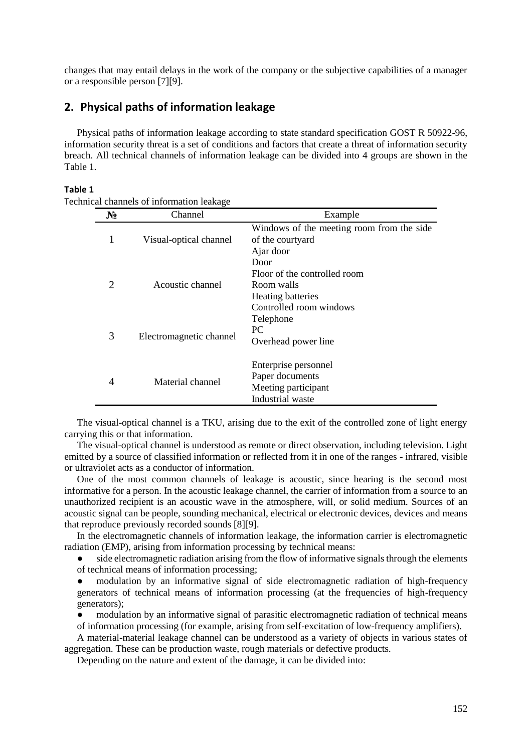changes that may entail delays in the work of the company or the subjective capabilities of a manager or a responsible person [7][9].

# **2. Physical paths of information leakage**

Physical paths of information leakage according to [state standard specification](https://www.translate.ru/%D0%BF%D0%B5%D1%80%D0%B5%D0%B2%D0%BE%D0%B4/%D0%B0%D0%BD%D0%B3%D0%BB%D0%B8%D0%B9%D1%81%D0%BA%D0%B8%D0%B9-%D1%80%D1%83%D1%81%D1%81%D0%BA%D0%B8%D0%B9/state%20standard%20specification) GOST R 50922-96, information security threat is a set of conditions and factors that create a threat of information security breach. All technical channels of information leakage can be divided into 4 groups are shown in the Table 1.

#### **Table 1**

Technical channels of information leakage

| $N_2$ | Channel                 | Example                                                                                                   |
|-------|-------------------------|-----------------------------------------------------------------------------------------------------------|
|       | Visual-optical channel  | Windows of the meeting room from the side.<br>of the courtyard<br>Ajar door                               |
| 2     | Acoustic channel        | Door<br>Floor of the controlled room<br>Room walls<br><b>Heating batteries</b><br>Controlled room windows |
| 3     | Electromagnetic channel | Telephone<br>PC.<br>Overhead power line                                                                   |
| 4     | Material channel        | Enterprise personnel<br>Paper documents<br>Meeting participant<br>Industrial waste                        |

The visual-optical channel is a TKU, arising due to the exit of the controlled zone of light energy carrying this or that information.

The visual-optical channel is understood as remote or direct observation, including television. Light emitted by a source of classified information or reflected from it in one of the ranges - infrared, visible or ultraviolet acts as a conductor of information.

One of the most common channels of leakage is acoustic, since hearing is the second most informative for a person. In the acoustic leakage channel, the carrier of information from a source to an unauthorized recipient is an acoustic wave in the atmosphere, will, or solid medium. Sources of an acoustic signal can be people, sounding mechanical, electrical or electronic devices, devices and means that reproduce previously recorded sounds [8][9].

In the electromagnetic channels of information leakage, the information carrier is electromagnetic radiation (EMP), arising from information processing by technical means:

side electromagnetic radiation arising from the flow of informative signals through the elements of technical means of information processing;

modulation by an informative signal of side electromagnetic radiation of high-frequency generators of technical means of information processing (at the frequencies of high-frequency generators);

modulation by an informative signal of parasitic electromagnetic radiation of technical means

of information processing (for example, arising from self-excitation of low-frequency amplifiers).

A material-material leakage channel can be understood as a variety of objects in various states of aggregation. These can be production waste, rough materials or defective products.

Depending on the nature and extent of the damage, it can be divided into: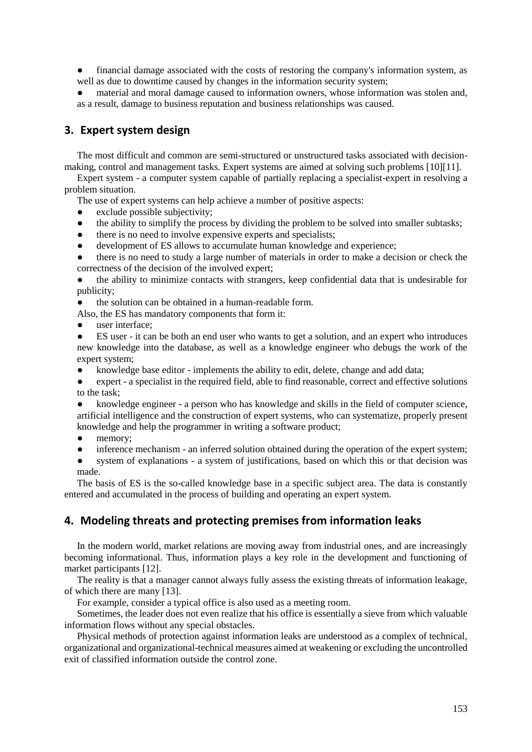● financial damage associated with the costs of restoring the company's information system, as well as due to downtime caused by changes in the information security system;

material and moral damage caused to information owners, whose information was stolen and, as a result, damage to business reputation and business relationships was caused.

# **3. Expert system design**

The most difficult and common are semi-structured or unstructured tasks associated with decisionmaking, control and management tasks. Expert systems are aimed at solving such problems [10][11].

Expert system - a computer system capable of partially replacing a specialist-expert in resolving a problem situation.

The use of expert systems can help achieve a number of positive aspects:

- $\bullet$  exclude possible subjectivity:
- the ability to simplify the process by dividing the problem to be solved into smaller subtasks;
- there is no need to involve expensive experts and specialists;
- development of ES allows to accumulate human knowledge and experience;

● there is no need to study a large number of materials in order to make a decision or check the correctness of the decision of the involved expert;

the ability to minimize contacts with strangers, keep confidential data that is undesirable for publicity;

● the solution can be obtained in a human-readable form.

Also, the ES has mandatory components that form it:

user interface:

ES user - it can be both an end user who wants to get a solution, and an expert who introduces new knowledge into the database, as well as a knowledge engineer who debugs the work of the expert system;

- knowledge base editor implements the ability to edit, delete, change and add data;
- expert a specialist in the required field, able to find reasonable, correct and effective solutions to the task;
- knowledge engineer a person who has knowledge and skills in the field of computer science, artificial intelligence and the construction of expert systems, who can systematize, properly present knowledge and help the programmer in writing a software product;
- memory;
- inference mechanism an inferred solution obtained during the operation of the expert system;
- system of explanations a system of justifications, based on which this or that decision was made.

The basis of ES is the so-called knowledge base in a specific subject area. The data is constantly entered and accumulated in the process of building and operating an expert system.

### **4. Modeling threats and protecting premises from information leaks**

In the modern world, market relations are moving away from industrial ones, and are increasingly becoming informational. Thus, information plays a key role in the development and functioning of market participants [12].

The reality is that a manager cannot always fully assess the existing threats of information leakage, of which there are many [13].

For example, consider a typical office is also used as a meeting room.

Sometimes, the leader does not even realize that his office is essentially a sieve from which valuable information flows without any special obstacles.

Physical methods of protection against information leaks are understood as a complex of technical, organizational and organizational-technical measures aimed at weakening or excluding the uncontrolled exit of classified information outside the control zone.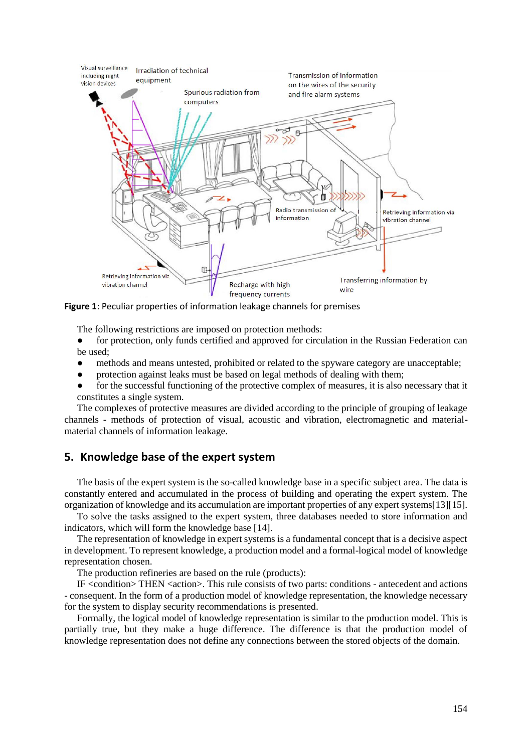

**Figure 1**: Peculiar properties of information leakage channels for premises

The following restrictions are imposed on protection methods:

- for protection, only funds certified and approved for circulation in the Russian Federation can be used;
- methods and means untested, prohibited or related to the spyware category are unacceptable;
- protection against leaks must be based on legal methods of dealing with them;
- for the successful functioning of the protective complex of measures, it is also necessary that it constitutes a single system.

The complexes of protective measures are divided according to the principle of grouping of leakage channels - methods of protection of visual, acoustic and vibration, electromagnetic and materialmaterial channels of information leakage.

### **5. Knowledge base of the expert system**

The basis of the expert system is the so-called knowledge base in a specific subject area. The data is constantly entered and accumulated in the process of building and operating the expert system. The organization of knowledge and its accumulation are important properties of any expert systems[13][15].

To solve the tasks assigned to the expert system, three databases needed to store information and indicators, which will form the knowledge base [14].

The representation of knowledge in expert systems is a fundamental concept that is a decisive aspect in development. To represent knowledge, a production model and a formal-logical model of knowledge representation chosen.

The production refineries are based on the rule (products):

IF  $\leq$  condition  $\geq$  THEN  $\leq$  action  $\geq$ . This rule consists of two parts: conditions - antecedent and actions - consequent. In the form of a production model of knowledge representation, the knowledge necessary for the system to display security recommendations is presented.

Formally, the logical model of knowledge representation is similar to the production model. This is partially true, but they make a huge difference. The difference is that the production model of knowledge representation does not define any connections between the stored objects of the domain.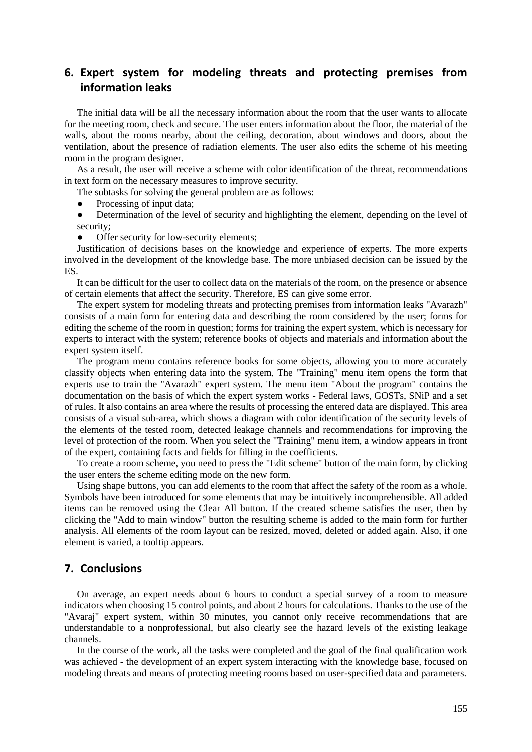# **6. Expert system for modeling threats and protecting premises from information leaks**

The initial data will be all the necessary information about the room that the user wants to allocate for the meeting room, check and secure. The user enters information about the floor, the material of the walls, about the rooms nearby, about the ceiling, decoration, about windows and doors, about the ventilation, about the presence of radiation elements. The user also edits the scheme of his meeting room in the program designer.

As a result, the user will receive a scheme with color identification of the threat, recommendations in text form on the necessary measures to improve security.

The subtasks for solving the general problem are as follows:

- Processing of input data;
- Determination of the level of security and highlighting the element, depending on the level of security;
- Offer security for low-security elements;

Justification of decisions bases on the knowledge and experience of experts. The more experts involved in the development of the knowledge base. The more unbiased decision can be issued by the ES.

It can be difficult for the user to collect data on the materials of the room, on the presence or absence of certain elements that affect the security. Therefore, ES can give some error.

The expert system for modeling threats and protecting premises from information leaks "Avarazh" consists of a main form for entering data and describing the room considered by the user; forms for editing the scheme of the room in question; forms for training the expert system, which is necessary for experts to interact with the system; reference books of objects and materials and information about the expert system itself.

The program menu contains reference books for some objects, allowing you to more accurately classify objects when entering data into the system. The "Training" menu item opens the form that experts use to train the "Avarazh" expert system. The menu item "About the program" contains the documentation on the basis of which the expert system works - Federal laws, GOSTs, SNiP and a set of rules. It also contains an area where the results of processing the entered data are displayed. This area consists of a visual sub-area, which shows a diagram with color identification of the security levels of the elements of the tested room, detected leakage channels and recommendations for improving the level of protection of the room. When you select the "Training" menu item, a window appears in front of the expert, containing facts and fields for filling in the coefficients.

To create a room scheme, you need to press the "Edit scheme" button of the main form, by clicking the user enters the scheme editing mode on the new form.

Using shape buttons, you can add elements to the room that affect the safety of the room as a whole. Symbols have been introduced for some elements that may be intuitively incomprehensible. All added items can be removed using the Clear All button. If the created scheme satisfies the user, then by clicking the "Add to main window" button the resulting scheme is added to the main form for further analysis. All elements of the room layout can be resized, moved, deleted or added again. Also, if one element is varied, a tooltip appears.

#### **7. Conclusions**

On average, an expert needs about 6 hours to conduct a special survey of a room to measure indicators when choosing 15 control points, and about 2 hours for calculations. Thanks to the use of the "Avaraj" expert system, within 30 minutes, you cannot only receive recommendations that are understandable to a nonprofessional, but also clearly see the hazard levels of the existing leakage channels.

In the course of the work, all the tasks were completed and the goal of the final qualification work was achieved - the development of an expert system interacting with the knowledge base, focused on modeling threats and means of protecting meeting rooms based on user-specified data and parameters.